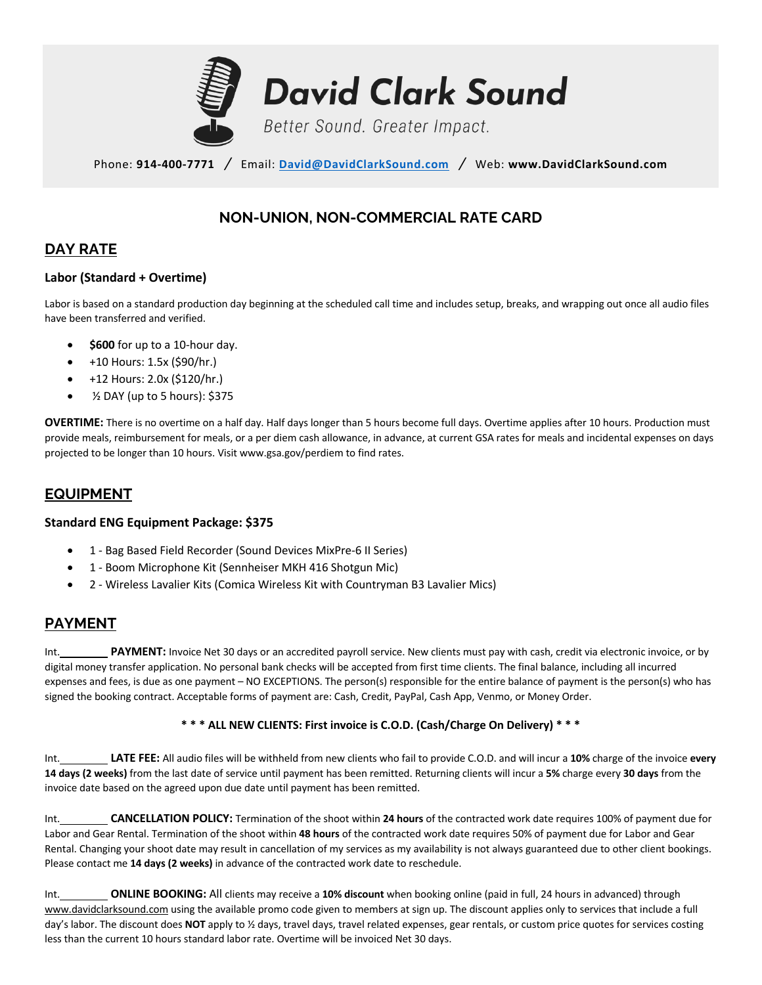

Phone: **914-400-7771** */* Email: **David@DavidClarkSound.com** */* Web: **www.DavidClarkSound.com**

# **NON-UNION, NON-COMMERCIAL RATE CARD**

# **DAY RATE**

### **Labor (Standard + Overtime)**

Labor is based on a standard production day beginning at the scheduled call time and includes setup, breaks, and wrapping out once all audio files have been transferred and verified.

- **\$600** for up to a 10-hour day.
- +10 Hours: 1.5x (\$90/hr.)
- +12 Hours: 2.0x (\$120/hr.)
- ½ DAY (up to 5 hours): \$375

**OVERTIME:** There is no overtime on a half day. Half days longer than 5 hours become full days. Overtime applies after 10 hours. Production must provide meals, reimbursement for meals, or a per diem cash allowance, in advance, at current GSA rates for meals and incidental expenses on days projected to be longer than 10 hours. Visit www.gsa.gov/perdiem to find rates.

## **EQUIPMENT**

#### **Standard ENG Equipment Package: \$375**

- 1 Bag Based Field Recorder (Sound Devices MixPre-6 II Series)
- 1 Boom Microphone Kit (Sennheiser MKH 416 Shotgun Mic)
- 2 Wireless Lavalier Kits (Comica Wireless Kit with Countryman B3 Lavalier Mics)

## **PAYMENT**

Int. **PAYMENT:** Invoice Net 30 days or an accredited payroll service. New clients must pay with cash, credit via electronic invoice, or by digital money transfer application. No personal bank checks will be accepted from first time clients. The final balance, including all incurred expenses and fees, is due as one payment – NO EXCEPTIONS. The person(s) responsible for the entire balance of payment is the person(s) who has signed the booking contract. Acceptable forms of payment are: Cash, Credit, PayPal, Cash App, Venmo, or Money Order.

### **\* \* \* ALL NEW CLIENTS: First invoice is C.O.D. (Cash/Charge On Delivery) \* \* \***

Int. **LATE FEE:** All audio files will be withheld from new clients who fail to provide C.O.D. and will incur a **10%** charge of the invoice **every 14 days (2 weeks)** from the last date of service until payment has been remitted. Returning clients will incur a **5%** charge every **30 days** from the invoice date based on the agreed upon due date until payment has been remitted.

Int. **CANCELLATION POLICY:** Termination of the shoot within **24 hours** of the contracted work date requires 100% of payment due for Labor and Gear Rental. Termination of the shoot within **48 hours** of the contracted work date requires 50% of payment due for Labor and Gear Rental. Changing your shoot date may result in cancellation of my services as my availability is not always guaranteed due to other client bookings. Please contact me **14 days (2 weeks)** in advance of the contracted work date to reschedule.

Int. **ONLINE BOOKING:** All clients may receive a **10% discount** when booking online (paid in full, 24 hours in advanced) through www.davidclarksound.com using the available promo code given to members at sign up. The discount applies only to services that include a full day's labor. The discount does **NOT** apply to ½ days, travel days, travel related expenses, gear rentals, or custom price quotes for services costing less than the current 10 hours standard labor rate. Overtime will be invoiced Net 30 days.